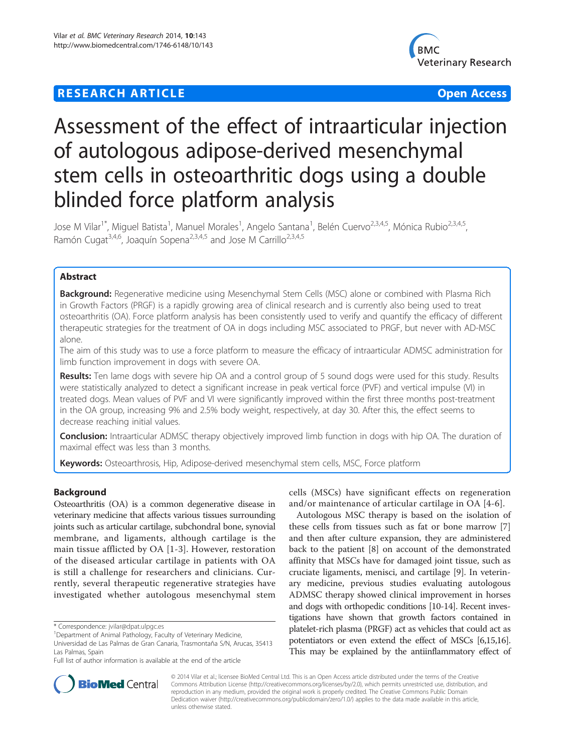# **RESEARCH ARTICLE Example 2018 12:00 Department of the Contract Open Access**



# Assessment of the effect of intraarticular injection of autologous adipose-derived mesenchymal stem cells in osteoarthritic dogs using a double blinded force platform analysis

Jose M Vilar<sup>1\*</sup>, Miguel Batista<sup>1</sup>, Manuel Morales<sup>1</sup>, Angelo Santana<sup>1</sup>, Belén Cuervo<sup>2,3,4,5</sup>, Mónica Rubio<sup>2,3,4,5</sup>, Ramón Cugat<sup>3,4,6</sup>, Joaquín Sopena<sup>2,3,4,5</sup> and Jose M Carrillo<sup>2,3,4,5</sup>

# Abstract

Background: Regenerative medicine using Mesenchymal Stem Cells (MSC) alone or combined with Plasma Rich in Growth Factors (PRGF) is a rapidly growing area of clinical research and is currently also being used to treat osteoarthritis (OA). Force platform analysis has been consistently used to verify and quantify the efficacy of different therapeutic strategies for the treatment of OA in dogs including MSC associated to PRGF, but never with AD-MSC alone.

The aim of this study was to use a force platform to measure the efficacy of intraarticular ADMSC administration for limb function improvement in dogs with severe OA.

Results: Ten lame dogs with severe hip OA and a control group of 5 sound dogs were used for this study. Results were statistically analyzed to detect a significant increase in peak vertical force (PVF) and vertical impulse (VI) in treated dogs. Mean values of PVF and VI were significantly improved within the first three months post-treatment in the OA group, increasing 9% and 2.5% body weight, respectively, at day 30. After this, the effect seems to decrease reaching initial values.

Conclusion: Intraarticular ADMSC therapy objectively improved limb function in dogs with hip OA. The duration of maximal effect was less than 3 months.

Keywords: Osteoarthrosis, Hip, Adipose-derived mesenchymal stem cells, MSC, Force platform

# Background

Osteoarthritis (OA) is a common degenerative disease in veterinary medicine that affects various tissues surrounding joints such as articular cartilage, subchondral bone, synovial membrane, and ligaments, although cartilage is the main tissue afflicted by OA [[1](#page-5-0)-[3](#page-5-0)]. However, restoration of the diseased articular cartilage in patients with OA is still a challenge for researchers and clinicians. Currently, several therapeutic regenerative strategies have investigated whether autologous mesenchymal stem cells (MSCs) have significant effects on regeneration and/or maintenance of articular cartilage in OA [[4](#page-5-0)-[6\]](#page-5-0).

Autologous MSC therapy is based on the isolation of these cells from tissues such as fat or bone marrow [\[7](#page-5-0)] and then after culture expansion, they are administered back to the patient [[8](#page-5-0)] on account of the demonstrated affinity that MSCs have for damaged joint tissue, such as cruciate ligaments, menisci, and cartilage [\[9](#page-5-0)]. In veterinary medicine, previous studies evaluating autologous ADMSC therapy showed clinical improvement in horses and dogs with orthopedic conditions [\[10-14\]](#page-5-0). Recent investigations have shown that growth factors contained in platelet-rich plasma (PRGF) act as vehicles that could act as potentiators or even extend the effect of MSCs [\[6,15,16](#page-5-0)]. This may be explained by the antiinflammatory effect of



© 2014 Vilar et al.; licensee BioMed Central Ltd. This is an Open Access article distributed under the terms of the Creative Commons Attribution License [\(http://creativecommons.org/licenses/by/2.0\)](http://creativecommons.org/licenses/by/2.0), which permits unrestricted use, distribution, and reproduction in any medium, provided the original work is properly credited. The Creative Commons Public Domain Dedication waiver [\(http://creativecommons.org/publicdomain/zero/1.0/](http://creativecommons.org/publicdomain/zero/1.0/)) applies to the data made available in this article, unless otherwise stated.

<sup>\*</sup> Correspondence: [jvilar@dpat.ulpgc.es](mailto:jvilar@dpat.ulpgc.es) <sup>1</sup>

<sup>&</sup>lt;sup>1</sup>Department of Animal Pathology, Faculty of Veterinary Medicine,

Universidad de Las Palmas de Gran Canaria, Trasmontaña S/N, Arucas, 35413 Las Palmas, Spain

Full list of author information is available at the end of the article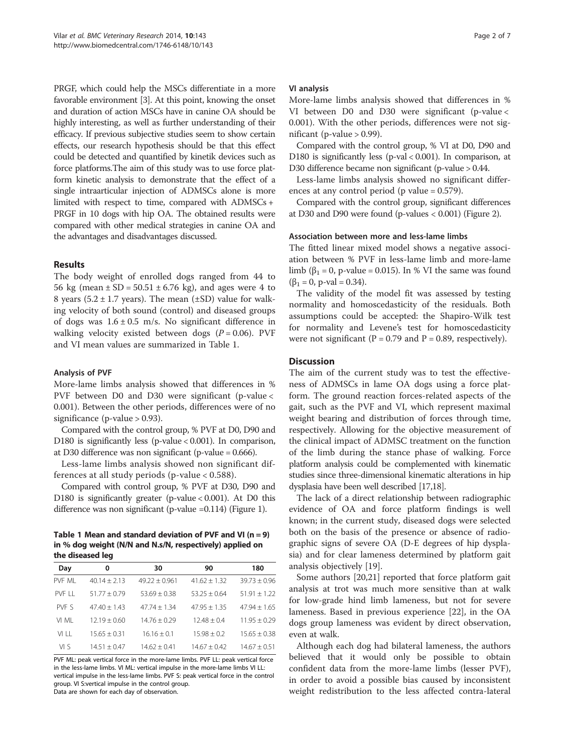PRGF, which could help the MSCs differentiate in a more favorable environment [[3](#page-5-0)]. At this point, knowing the onset and duration of action MSCs have in canine OA should be highly interesting, as well as further understanding of their efficacy. If previous subjective studies seem to show certain effects, our research hypothesis should be that this effect could be detected and quantified by kinetik devices such as force platforms.The aim of this study was to use force platform kinetic analysis to demonstrate that the effect of a single intraarticular injection of ADMSCs alone is more limited with respect to time, compared with ADMSCs + PRGF in 10 dogs with hip OA. The obtained results were compared with other medical strategies in canine OA and the advantages and disadvantages discussed.

# Results

The body weight of enrolled dogs ranged from 44 to 56 kg (mean  $\pm$  SD = 50.51  $\pm$  6.76 kg), and ages were 4 to 8 years (5.2  $\pm$  1.7 years). The mean ( $\pm$ SD) value for walking velocity of both sound (control) and diseased groups of dogs was  $1.6 \pm 0.5$  m/s. No significant difference in walking velocity existed between dogs  $(P = 0.06)$ . PVF and VI mean values are summarized in Table 1.

# Analysis of PVF

More-lame limbs analysis showed that differences in % PVF between D0 and D30 were significant (p-value < 0.001). Between the other periods, differences were of no significance (p-value > 0.93).

Compared with the control group, % PVF at D0, D90 and D180 is significantly less (p-value < 0.001). In comparison, at D30 difference was non significant (p-value = 0.666).

Less-lame limbs analysis showed non significant differences at all study periods (p-value < 0.588).

Compared with control group, % PVF at D30, D90 and D180 is significantly greater (p-value < 0.001). At D0 this difference was non significant (p-value =0.114) (Figure [1](#page-2-0)).

Table 1 Mean and standard deviation of PVF and VI ( $n = 9$ ) in % dog weight (N/N and N.s/N, respectively) applied on the diseased leg

| Day     | 0              | 30                | 90             | 180              |
|---------|----------------|-------------------|----------------|------------------|
| PVF MI  | $40.14 + 2.13$ | $49.22 \pm 0.961$ | $41.62 + 1.32$ | $39.73 \pm 0.96$ |
| PVF I I | $51.77 + 0.79$ | $53.69 + 0.38$    | $53.25 + 0.64$ | $51.91 + 1.22$   |
| PVF S   | $47.40 + 1.43$ | $47.74 + 1.34$    | $47.95 + 1.35$ | $47.94 + 1.65$   |
| VI MI   | $12.19 + 0.60$ | $14.76 + 0.29$    | $12.48 + 0.4$  | $11.95 + 0.29$   |
| VI I I  | $15.65 + 0.31$ | $16.16 + 0.1$     | $15.98 + 0.2$  | $15.65 + 0.38$   |
| VΙS     | $14.51 + 0.47$ | $14.62 + 0.41$    | $14.67 + 0.42$ | $14.67 + 0.51$   |

PVF ML: peak vertical force in the more-lame limbs. PVF LL: peak vertical force in the less-lame limbs. VI ML: vertical impulse in the more-lame limbs VI LL: vertical impulse in the less-lame limbs. PVF S: peak vertical force in the control group. VI S:vertical impulse in the control group.

Data are shown for each day of observation.

#### VI analysis

More-lame limbs analysis showed that differences in % VI between D0 and D30 were significant (p-value < 0.001). With the other periods, differences were not significant (p-value  $> 0.99$ ).

Compared with the control group, % VI at D0, D90 and D180 is significantly less (p-val < 0.001). In comparison, at D30 difference became non significant (p-value > 0.44.

Less-lame limbs analysis showed no significant differences at any control period (p value = 0.579).

Compared with the control group, significant differences at D30 and D90 were found (p-values < 0.001) (Figure [2\)](#page-2-0).

#### Association between more and less-lame limbs

The fitted linear mixed model shows a negative association between % PVF in less-lame limb and more-lame limb ( $\beta_1 = 0$ , p-value = 0.015). In % VI the same was found  $(\beta_1 = 0, p-value = 0.34).$ 

The validity of the model fit was assessed by testing normality and homoscedasticity of the residuals. Both assumptions could be accepted: the Shapiro-Wilk test for normality and Levene's test for homoscedasticity were not significant ( $P = 0.79$  and  $P = 0.89$ , respectively).

## **Discussion**

The aim of the current study was to test the effectiveness of ADMSCs in lame OA dogs using a force platform. The ground reaction forces-related aspects of the gait, such as the PVF and VI, which represent maximal weight bearing and distribution of forces through time, respectively. Allowing for the objective measurement of the clinical impact of ADMSC treatment on the function of the limb during the stance phase of walking. Force platform analysis could be complemented with kinematic studies since three-dimensional kinematic alterations in hip dysplasia have been well described [[17,18](#page-5-0)].

The lack of a direct relationship between radiographic evidence of OA and force platform findings is well known; in the current study, diseased dogs were selected both on the basis of the presence or absence of radiographic signs of severe OA (D-E degrees of hip dysplasia) and for clear lameness determined by platform gait analysis objectively [\[19](#page-5-0)].

Some authors [[20,](#page-5-0)[21\]](#page-6-0) reported that force platform gait analysis at trot was much more sensitive than at walk for low-grade hind limb lameness, but not for severe lameness. Based in previous experience [\[22](#page-6-0)], in the OA dogs group lameness was evident by direct observation, even at walk.

Although each dog had bilateral lameness, the authors believed that it would only be possible to obtain confident data from the more-lame limbs (lesser PVF), in order to avoid a possible bias caused by inconsistent weight redistribution to the less affected contra-lateral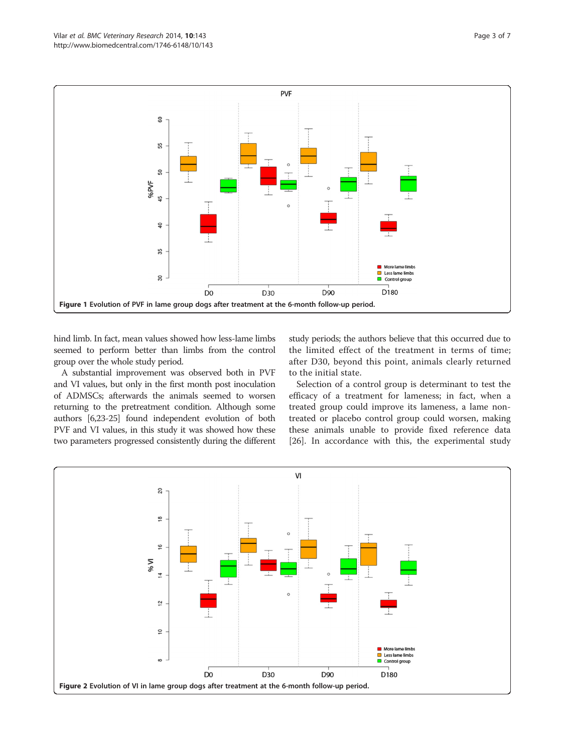<span id="page-2-0"></span>

hind limb. In fact, mean values showed how less-lame limbs seemed to perform better than limbs from the control group over the whole study period.

A substantial improvement was observed both in PVF and VI values, but only in the first month post inoculation of ADMSCs; afterwards the animals seemed to worsen returning to the pretreatment condition. Although some authors [\[6,](#page-5-0)[23](#page-6-0)-[25\]](#page-6-0) found independent evolution of both PVF and VI values, in this study it was showed how these two parameters progressed consistently during the different study periods; the authors believe that this occurred due to the limited effect of the treatment in terms of time; after D30, beyond this point, animals clearly returned to the initial state.

Selection of a control group is determinant to test the efficacy of a treatment for lameness; in fact, when a treated group could improve its lameness, a lame nontreated or placebo control group could worsen, making these animals unable to provide fixed reference data [[26\]](#page-6-0). In accordance with this, the experimental study

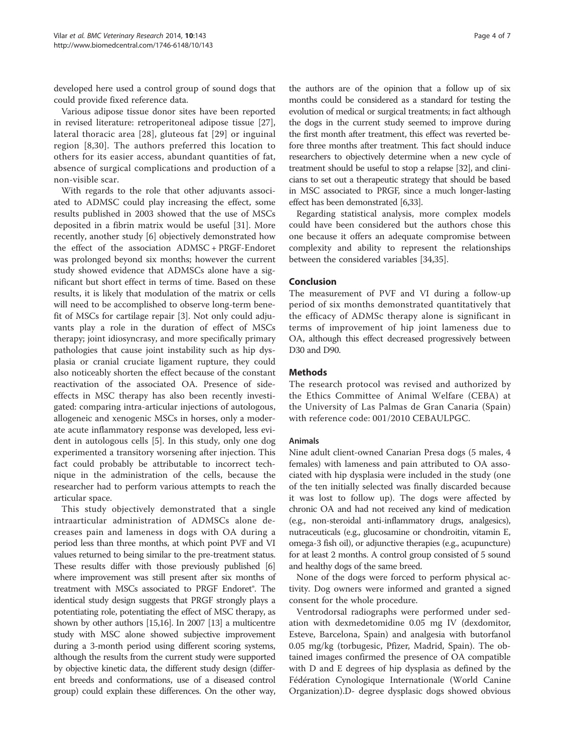developed here used a control group of sound dogs that could provide fixed reference data.

Various adipose tissue donor sites have been reported in revised literature: retroperitoneal adipose tissue [\[27](#page-6-0)], lateral thoracic area [\[28\]](#page-6-0), gluteous fat [\[29\]](#page-6-0) or inguinal region [[8](#page-5-0)[,30\]](#page-6-0). The authors preferred this location to others for its easier access, abundant quantities of fat, absence of surgical complications and production of a non-visible scar.

With regards to the role that other adjuvants associated to ADMSC could play increasing the effect, some results published in 2003 showed that the use of MSCs deposited in a fibrin matrix would be useful [\[31](#page-6-0)]. More recently, another study [[6\]](#page-5-0) objectively demonstrated how the effect of the association ADMSC + PRGF-Endoret was prolonged beyond six months; however the current study showed evidence that ADMSCs alone have a significant but short effect in terms of time. Based on these results, it is likely that modulation of the matrix or cells will need to be accomplished to observe long-term benefit of MSCs for cartilage repair [\[3](#page-5-0)]. Not only could adjuvants play a role in the duration of effect of MSCs therapy; joint idiosyncrasy, and more specifically primary pathologies that cause joint instability such as hip dysplasia or cranial cruciate ligament rupture, they could also noticeably shorten the effect because of the constant reactivation of the associated OA. Presence of sideeffects in MSC therapy has also been recently investigated: comparing intra-articular injections of autologous, allogeneic and xenogenic MSCs in horses, only a moderate acute inflammatory response was developed, less evident in autologous cells [\[5\]](#page-5-0). In this study, only one dog experimented a transitory worsening after injection. This fact could probably be attributable to incorrect technique in the administration of the cells, because the researcher had to perform various attempts to reach the articular space.

This study objectively demonstrated that a single intraarticular administration of ADMSCs alone decreases pain and lameness in dogs with OA during a period less than three months, at which point PVF and VI values returned to being similar to the pre-treatment status. These results differ with those previously published [[6](#page-5-0)] where improvement was still present after six months of treatment with MSCs associated to PRGF Endoret®. The identical study design suggests that PRGF strongly plays a potentiating role, potentiating the effect of MSC therapy, as shown by other authors [\[15,16\]](#page-5-0). In 2007 [\[13\]](#page-5-0) a multicentre study with MSC alone showed subjective improvement during a 3-month period using different scoring systems, although the results from the current study were supported by objective kinetic data, the different study design (different breeds and conformations, use of a diseased control group) could explain these differences. On the other way,

the authors are of the opinion that a follow up of six months could be considered as a standard for testing the evolution of medical or surgical treatments; in fact although the dogs in the current study seemed to improve during the first month after treatment, this effect was reverted before three months after treatment. This fact should induce researchers to objectively determine when a new cycle of treatment should be useful to stop a relapse [[32](#page-6-0)], and clinicians to set out a therapeutic strategy that should be based in MSC associated to PRGF, since a much longer-lasting effect has been demonstrated [[6](#page-5-0)[,33\]](#page-6-0).

Regarding statistical analysis, more complex models could have been considered but the authors chose this one because it offers an adequate compromise between complexity and ability to represent the relationships between the considered variables [[34,35\]](#page-6-0).

# Conclusion

The measurement of PVF and VI during a follow-up period of six months demonstrated quantitatively that the efficacy of ADMSc therapy alone is significant in terms of improvement of hip joint lameness due to OA, although this effect decreased progressively between D30 and D90.

# **Methods**

The research protocol was revised and authorized by the Ethics Committee of Animal Welfare (CEBA) at the University of Las Palmas de Gran Canaria (Spain) with reference code: 001/2010 CEBAULPGC.

### Animals

Nine adult client-owned Canarian Presa dogs (5 males, 4 females) with lameness and pain attributed to OA associated with hip dysplasia were included in the study (one of the ten initially selected was finally discarded because it was lost to follow up). The dogs were affected by chronic OA and had not received any kind of medication (e.g., non-steroidal anti-inflammatory drugs, analgesics), nutraceuticals (e.g., glucosamine or chondroitin, vitamin E, omega-3 fish oil), or adjunctive therapies (e.g., acupuncture) for at least 2 months. A control group consisted of 5 sound and healthy dogs of the same breed.

None of the dogs were forced to perform physical activity. Dog owners were informed and granted a signed consent for the whole procedure.

Ventrodorsal radiographs were performed under sedation with dexmedetomidine 0.05 mg IV (dexdomitor, Esteve, Barcelona, Spain) and analgesia with butorfanol 0.05 mg/kg (torbugesic, Pfizer, Madrid, Spain). The obtained images confirmed the presence of OA compatible with D and E degrees of hip dysplasia as defined by the Fédération Cynologique Internationale (World Canine Organization).D- degree dysplasic dogs showed obvious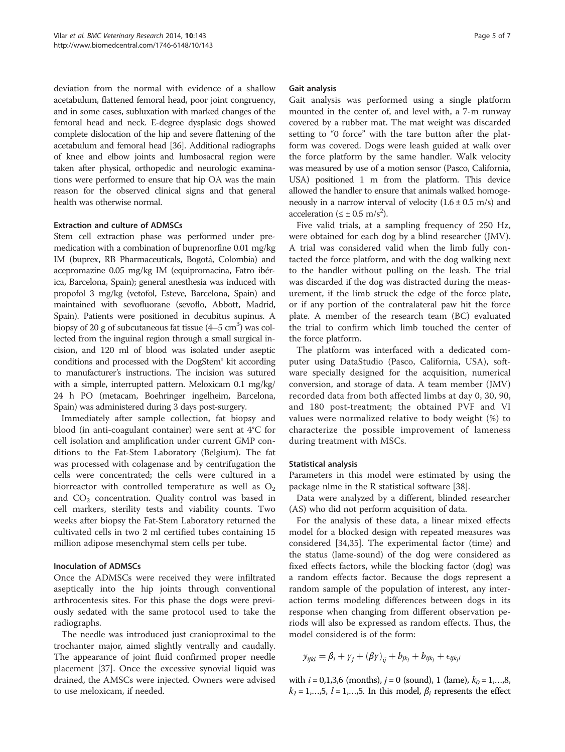deviation from the normal with evidence of a shallow acetabulum, flattened femoral head, poor joint congruency, and in some cases, subluxation with marked changes of the femoral head and neck. E-degree dysplasic dogs showed complete dislocation of the hip and severe flattening of the acetabulum and femoral head [\[36](#page-6-0)]. Additional radiographs of knee and elbow joints and lumbosacral region were taken after physical, orthopedic and neurologic examinations were performed to ensure that hip OA was the main reason for the observed clinical signs and that general health was otherwise normal.

### Extraction and culture of ADMSCs

Stem cell extraction phase was performed under premedication with a combination of buprenorfine 0.01 mg/kg IM (buprex, RB Pharmaceuticals, Bogotá, Colombia) and acepromazine 0.05 mg/kg IM (equipromacina, Fatro ibérica, Barcelona, Spain); general anesthesia was induced with propofol 3 mg/kg (vetofol, Esteve, Barcelona, Spain) and maintained with sevofluorane (sevoflo, Abbott, Madrid, Spain). Patients were positioned in decubitus supinus. A biopsy of 20 g of subcutaneous fat tissue  $(4-5 \text{ cm}^3)$  was collected from the inguinal region through a small surgical incision, and 120 ml of blood was isolated under aseptic conditions and processed with the DogStem® kit according to manufacturer's instructions. The incision was sutured with a simple, interrupted pattern. Meloxicam 0.1 mg/kg/ 24 h PO (metacam, Boehringer ingelheim, Barcelona, Spain) was administered during 3 days post-surgery.

Immediately after sample collection, fat biopsy and blood (in anti-coagulant container) were sent at 4°C for cell isolation and amplification under current GMP conditions to the Fat-Stem Laboratory (Belgium). The fat was processed with colagenase and by centrifugation the cells were concentrated; the cells were cultured in a biorreactor with controlled temperature as well as  $O_2$ and  $CO<sub>2</sub>$  concentration. Quality control was based in cell markers, sterility tests and viability counts. Two weeks after biopsy the Fat-Stem Laboratory returned the cultivated cells in two 2 ml certified tubes containing 15 million adipose mesenchymal stem cells per tube.

# Inoculation of ADMSCs

Once the ADMSCs were received they were infiltrated aseptically into the hip joints through conventional arthrocentesis sites. For this phase the dogs were previously sedated with the same protocol used to take the radiographs.

The needle was introduced just cranioproximal to the trochanter major, aimed slightly ventrally and caudally. The appearance of joint fluid confirmed proper needle placement [\[37](#page-6-0)]. Once the excessive synovial liquid was drained, the AMSCs were injected. Owners were advised to use meloxicam, if needed.

#### Gait analysis

Gait analysis was performed using a single platform mounted in the center of, and level with, a 7-m runway covered by a rubber mat. The mat weight was discarded setting to "0 force" with the tare button after the platform was covered. Dogs were leash guided at walk over the force platform by the same handler. Walk velocity was measured by use of a motion sensor (Pasco, California, USA) positioned 1 m from the platform. This device allowed the handler to ensure that animals walked homogeneously in a narrow interval of velocity  $(1.6 \pm 0.5 \text{ m/s})$  and acceleration ( $\leq \pm 0.5$  m/s<sup>2</sup>).

Five valid trials, at a sampling frequency of 250 Hz, were obtained for each dog by a blind researcher (JMV). A trial was considered valid when the limb fully contacted the force platform, and with the dog walking next to the handler without pulling on the leash. The trial was discarded if the dog was distracted during the measurement, if the limb struck the edge of the force plate, or if any portion of the contralateral paw hit the force plate. A member of the research team (BC) evaluated the trial to confirm which limb touched the center of the force platform.

The platform was interfaced with a dedicated computer using DataStudio (Pasco, California, USA), software specially designed for the acquisition, numerical conversion, and storage of data. A team member (JMV) recorded data from both affected limbs at day 0, 30, 90, and 180 post-treatment; the obtained PVF and VI values were normalized relative to body weight (%) to characterize the possible improvement of lameness during treatment with MSCs.

### Statistical analysis

Parameters in this model were estimated by using the package nlme in the R statistical software [[38](#page-6-0)].

Data were analyzed by a different, blinded researcher (AS) who did not perform acquisition of data.

For the analysis of these data, a linear mixed effects model for a blocked design with repeated measures was considered [[34](#page-6-0),[35](#page-6-0)]. The experimental factor (time) and the status (lame-sound) of the dog were considered as fixed effects factors, while the blocking factor (dog) was a random effects factor. Because the dogs represent a random sample of the population of interest, any interaction terms modeling differences between dogs in its response when changing from different observation periods will also be expressed as random effects. Thus, the model considered is of the form:

$$
y_{ijkl} = \beta_i + \gamma_j + (\beta \gamma)_{ij} + b_{jk_j} + b_{ijk_j} + \epsilon_{ijkjl}
$$

with  $i = 0,1,3,6$  (months),  $j = 0$  (sound), 1 (lame),  $k_0 = 1,...,8$ ,  $k_1 = 1,...,5$ ,  $l = 1,...,5$ . In this model,  $\beta_i$  represents the effect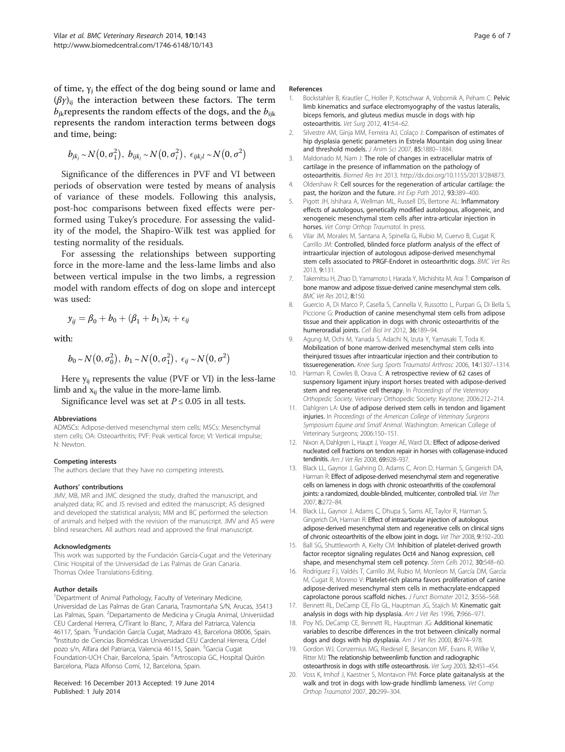<span id="page-5-0"></span>of time,  $\gamma_i$  the effect of the dog being sound or lame and  $(\beta \gamma)_{ii}$  the interaction between these factors. The term  $b_{jk}$ represents the random effects of the dogs, and the  $b_{iik}$ represents the random interaction terms between dogs and time, being:

$$
b_{jk_j} \sim N\big(0, \sigma_1^2\big), b_{ijk_j} \sim N\big(0, \sigma_i^2\big), \epsilon_{ijk_jl} \sim N\big(0, \sigma^2\big)
$$

Significance of the differences in PVF and VI between periods of observation were tested by means of analysis of variance of these models. Following this analysis, post-hoc comparisons between fixed effects were performed using Tukey's procedure. For assessing the validity of the model, the Shapiro-Wilk test was applied for testing normality of the residuals.

For assessing the relationships between supporting force in the more-lame and the less-lame limbs and also between vertical impulse in the two limbs, a regression model with random effects of dog on slope and intercept was used:

$$
y_{ij} = \beta_0 + b_0 + (\beta_1 + b_1)x_i + \epsilon_{ij}
$$

with:

$$
b_0 \sim N\left(0, \sigma_0^2\right), b_1 \sim N\left(0, \sigma_1^2\right), \epsilon_{ij} \sim N\left(0, \sigma^2\right)
$$

Here  $y_{ii}$  represents the value (PVF or VI) in the less-lame limb and  $x_{ii}$  the value in the more-lame limb.

Significance level was set at  $P \le 0.05$  in all tests.

### Abbreviations

ADMSCs: Adipose-derived mesenchymal stem cells; MSCs: Mesenchymal stem cells; OA: Osteoarthritis; PVF: Peak vertical force; VI: Vertical impulse; N: Newton.

#### Competing interests

The authors declare that they have no competing interests.

#### Authors' contributions

JMV, MB, MR and JMC designed the study, drafted the manuscript, and analyzed data; RC and JS revised and edited the manuscript; AS designed and developed the statistical analysis; MM and BC performed the selection of animals and helped with the revision of the manuscript. JMV and AS were blind researchers. All authors read and approved the final manuscript.

#### Acknowledgments

This work was supported by the Fundación García-Cugat and the Veterinary Clinic Hospital of the Universidad de Las Palmas de Gran Canaria. Thomas Oxlee Translations-Editing.

#### Author details

<sup>1</sup>Department of Animal Pathology, Faculty of Veterinary Medicine, Universidad de Las Palmas de Gran Canaria, Trasmontaña S/N, Arucas, 35413 Las Palmas, Spain. <sup>2</sup>Departamento de Medicina y Cirugía Animal, Universidad CEU Cardenal Herrera, C/Tirant lo Blanc, 7, Alfara del Patriarca, Valencia 46117, Spain. <sup>3</sup>Fundación García Cugat, Madrazo 43, Barcelona 08006, Spain.<br><sup>4</sup>Instituto de Ciencias Biomédicas Universidad CEU Cardenal Herrera *CI*del <sup>4</sup>Instituto de Ciencias Biomédicas Universidad CEU Cardenal Herrera, C/del pozo s/n, Alfara del Patriarca, Valencia 46115, Spain. <sup>5</sup>Garcia Cugat Foundation-UCH Chair, Barcelona, Spain. <sup>6</sup>Artroscopia GC, Hospital Quirón Barcelona, Plaza Alfonso Comí, 12, Barcelona, Spain.

#### Received: 16 December 2013 Accepted: 19 June 2014 Published: 1 July 2014

#### References

- Bockstahler B, Krautler C, Holler P, Kotschwar A, Vobornik A, Peham C: Pelvic limb kinematics and surface electromyography of the vastus lateralis, biceps femoris, and gluteus medius muscle in dogs with hip osteoarthritis. Vet Surg 2012, 41:54–62.
- 2. Silvestre AM, Ginja MM, Ferreira AJ, Colaço J: Comparison of estimates of hip dysplasia genetic parameters in Estrela Mountain dog using linear and threshold models. J Anim Sci 2007, 85:1880-1884.
- 3. Maldonado M, Nam J: The role of changes in extracellular matrix of cartilage in the presence of inflammation on the pathology of osteoarthritis. Biomed Res Int 2013.<http://dx.doi.org/10.1155/2013/284873>.
- 4. Oldershaw R: Cell sources for the regeneration of articular cartilage: the past, the horizon and the future. Int Exp Path 2012, 93:389-400.
- 5. Pigott JH, Ishihara A, Wellman ML, Russell DS, Bertone AL: Inflammatory effects of autologous, genetically modified autologous, allogeneic, and xenogeneic mesenchymal stem cells after intra-articular injection in horses. Vet Comp Orthop Traumatol. In press.
- 6. Vilar JM, Morales M, Santana A, Spinella G, Rubio M, Cuervo B, Cugat R, Carrillo JM: Controlled, blinded force platform analysis of the effect of intraarticular injection of autologous adipose-derived mesenchymal stem cells associated to PRGF-Endoret in osteoarthritic dogs. BMC Vet Res 2013, 9:131.
- 7. Takemitsu H, Zhao D, Yamamoto I, Harada Y, Michishita M, Arai T: Comparison of bone marrow and adipose tissue-derived canine mesenchymal stem cells. BMC Vet Res 2012, 8:150.
- 8. Guercio A, Di Marco P, Casella S, Cannella V, Russotto L, Purpari G, Di Bella S, Piccione G: Production of canine mesenchymal stem cells from adipose tissue and their application in dogs with chronic osteoarthritis of the humeroradial joints. Cell Biol Int 2012, 36:189–94.
- 9. Agung M, Ochi M, Yanada S, Adachi N, Izuta Y, Yamasaki T, Toda K: Mobilization of bone marrow-derived mesenchymal stem cells into theinjured tissues after intraarticular injection and their contribution to tissueregeneration. Knee Surg Sports Traumatol Arthrosc 2006, 14:1307-1314.
- 10. Harman R, Cowles B, Orava C: A retrospective review of 62 cases of suspensory ligament injury insport horses treated with adipose-derived stem and regenerative cell therapy. In Proceedings of the Veterinary Orthopedic Society. Veterinary Orthopedic Society: Keystone; 2006:212–214.
- 11. Dahlgren LA: Use of adipose derived stem cells in tendon and ligament injuries. In Proceedings of the American College of Veterinary Surgeons Symposium Equine and Small Animal. Washington: American College of Veterinary Surgeons; 2006:150–151.
- 12. Nixon A, Dahlgren L, Haupt J, Yeager AE, Ward DL: Effect of adipose-derived nucleated cell fractions on tendon repair in horses with collagenase-induced tendinitis. Am J Vet Res 2008, 69:928–937.
- 13. Black LL, Gaynor J, Gahring D, Adams C, Aron D, Harman S, Gingerich DA, Harman R: Effect of adipose-derived mesenchymal stem and regenerative cells on lameness in dogs with chronic osteoarthritis of the coxofemoral joints: a randomized, double-blinded, multicenter, controlled trial. Vet Ther 2007, 8:272–84.
- 14. Black LL, Gaynor J, Adams C, Dhupa S, Sams AE, Taylor R, Harman S, Gingerich DA, Harman R: Effect of intraarticular injection of autologous adipose-derived mesenchymal stem and regenerative cells on clinical signs of chronic osteoarthritis of the elbow joint in dogs. Vet Ther 2008, 9:192–200.
- 15. Ball SG, Shuttleworth A, Kielty CM: Inhibition of platelet-derived growth factor receptor signaling regulates Oct4 and Nanog expression, cell shape, and mesenchymal stem cell potency. Stem Cells 2012, 30:548–60.
- 16. Rodríguez FJ, Valdés T, Carrillo JM, Rubio M, Monleon M, García DM, García M, Cugat R, Moreno V: Platelet-rich plasma favors proliferation of canine adipose-derived mesenchymal stem cells in methacrylate-endcapped caprolactone porous scaffold niches. J Funct Biomater 2012, 3:556–568.
- 17. Bennett RL, DeCamp CE, Flo GL, Hauptman JG, Stajich M: Kinematic gait analysis in dogs with hip dysplasia. Am J Vet Res 1996, 7:966–971.
- 18. Poy NS, DeCamp CE, Bennett RL, Hauptman JG: Additional kinematic variables to describe differences in the trot between clinically normal dogs and dogs with hip dysplasia. Am J Vet Res 2000, 8:974–978.
- 19. Gordon WJ, Conzemius MG, Riedesel E, Besancon MF, Evans R, Wilke V, Ritter MJ: The relationship betweenlimb function and radiographic osteoarthrosis in dogs with stifle osteoarthrosis. Vet Surg 2003, 32:451–454.
- 20. Voss K, Imhof J, Kaestner S, Montavon PM: Force plate gaitanalysis at the walk and trot in dogs with low-grade hindlimb lameness. Vet Comp Orthop Traumatol 2007, 20:299–304.